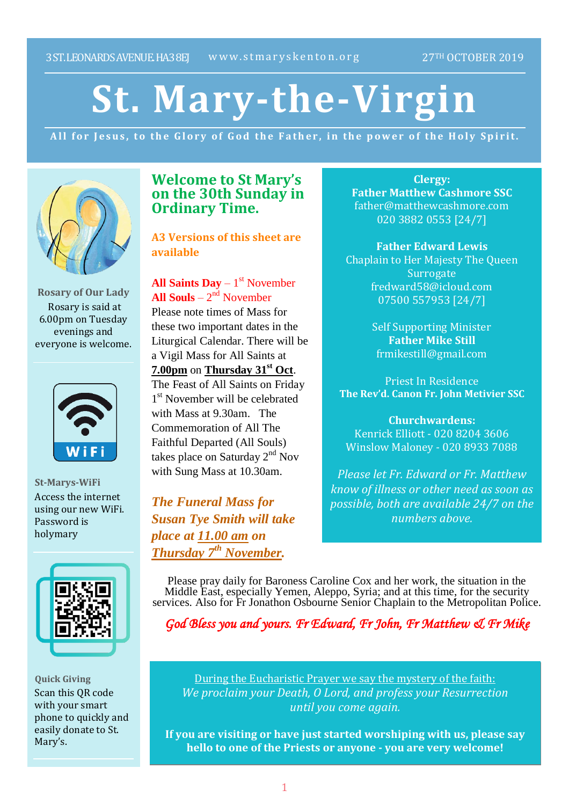# **St. Mary-the-Virgin**

All for Jesus, to the Glory of God the Father, in the power of the Holy Spirit.



**Rosary of Our Lady** Rosary is said at 6.00pm on Tuesday evenings and everyone is welcome.



**St-Marys-WiFi** Access the internet using our new WiFi. Password is holymary



**Quick Giving** Scan this QR code with your smart phone to quickly and easily donate to St. Mary's.

## **Welcome to St Mary's on the 30th Sunday in Ordinary Time.**

**A3 Versions of this sheet are available**

**All Saints Day** – 1 st November **All Souls** –  $2<sup>nd</sup>$  November Please note times of Mass for these two important dates in the Liturgical Calendar. There will be a Vigil Mass for All Saints at **7.00pm** on **Thursday 31st Oct**. The Feast of All Saints on Friday 1<sup>st</sup> November will be celebrated with Mass at 9.30am. The Commemoration of All The Faithful Departed (All Souls) takes place on Saturday 2<sup>nd</sup> Nov with Sung Mass at 10.30am.

*The Funeral Mass for Susan Tye Smith will take place at 11.00 am on Thursday 7 th November.*

**Clergy: Father Matthew Cashmore SSC** father@matthewcashmore.com 020 3882 0553 [24/7]

**Father Edward Lewis** Chaplain to Her Majesty The Queen **Surrogate** fredward58@icloud.com 07500 557953 [24/7]

> Self Supporting Minister **Father Mike Still** frmikestill@gmail.com

Priest In Residence **The Rev'd. Canon Fr. John Metivier SSC**

**Churchwardens:** Kenrick Elliott - 020 8204 3606 Winslow Maloney - 020 8933 7088

*Please let Fr. Edward or Fr. Matthew know of illness or other need as soon as possible, both are available 24/7 on the numbers above.*

Please pray daily for Baroness Caroline Cox and her work, the situation in the Middle East, especially Yemen, Aleppo, Syria; and at this time, for the security services. Also for Fr Jonathon Osbourne Senior Chaplain to the Metropolitan Police.

*God Bless you and yours. Fr Edward, Fr John, Fr Matthew & Fr Mike*

During the Eucharistic Prayer we say the mystery of the faith: *We proclaim your Death, O Lord, and profess your Resurrection until you come again.*

**If you are visiting or have just started worshiping with us, please say hello to one of the Priests or anyone - you are very welcome!**